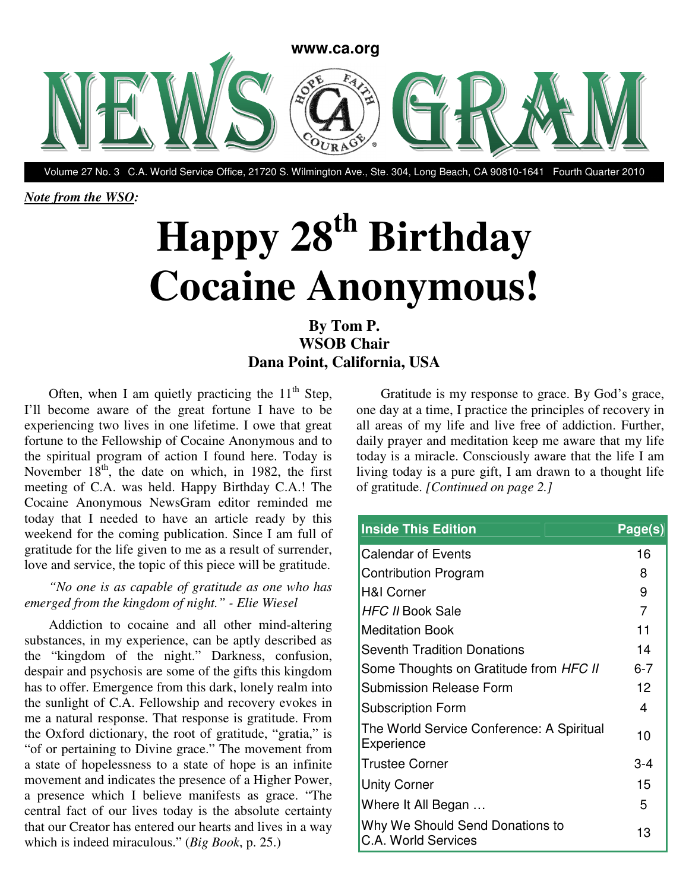

Volume 27 No. 3 C.A. World Service Office, 21720 S. Wilmington Ave., Ste. 304, Long Beach, CA 90810-1641 Fourth Quarter 2010

*Note from the WSO:* 

# **Happy 28th Birthday Cocaine Anonymous!**

## **By Tom P. WSOB Chair Dana Point, California, USA**

Often, when I am quietly practicing the  $11<sup>th</sup>$  Step, I'll become aware of the great fortune I have to be experiencing two lives in one lifetime. I owe that great fortune to the Fellowship of Cocaine Anonymous and to the spiritual program of action I found here. Today is November  $18<sup>th</sup>$ , the date on which, in 1982, the first meeting of C.A. was held. Happy Birthday C.A.! The Cocaine Anonymous NewsGram editor reminded me today that I needed to have an article ready by this weekend for the coming publication. Since I am full of gratitude for the life given to me as a result of surrender, love and service, the topic of this piece will be gratitude.

## *"No one is as capable of gratitude as one who has emerged from the kingdom of night." - Elie Wiesel*

Addiction to cocaine and all other mind-altering substances, in my experience, can be aptly described as the "kingdom of the night." Darkness, confusion, despair and psychosis are some of the gifts this kingdom has to offer. Emergence from this dark, lonely realm into the sunlight of C.A. Fellowship and recovery evokes in me a natural response. That response is gratitude. From the Oxford dictionary, the root of gratitude, "gratia," is "of or pertaining to Divine grace." The movement from a state of hopelessness to a state of hope is an infinite movement and indicates the presence of a Higher Power, a presence which I believe manifests as grace. "The central fact of our lives today is the absolute certainty that our Creator has entered our hearts and lives in a way which is indeed miraculous." (*Big Book*, p. 25.)

Gratitude is my response to grace. By God's grace, one day at a time, I practice the principles of recovery in all areas of my life and live free of addiction. Further, daily prayer and meditation keep me aware that my life today is a miracle. Consciously aware that the life I am living today is a pure gift, I am drawn to a thought life of gratitude. *[Continued on page 2.]* 

| <b>Inside This Edition</b>                              | Page(s)        |
|---------------------------------------------------------|----------------|
| <b>Calendar of Events</b>                               | 16             |
| <b>Contribution Program</b>                             | 8              |
| <b>H&amp;I Corner</b>                                   | 9              |
| HFC II Book Sale                                        | $\overline{7}$ |
| <b>Meditation Book</b>                                  | 11             |
| <b>Seventh Tradition Donations</b>                      | 14             |
| Some Thoughts on Gratitude from HFC II                  | $6 - 7$        |
| Submission Release Form                                 | 12             |
| Subscription Form                                       | 4              |
| The World Service Conference: A Spiritual<br>Experience | 10             |
| <b>Trustee Corner</b>                                   | 3-4            |
| <b>Unity Corner</b>                                     | 15             |
| Where It All Began                                      | 5              |
| Why We Should Send Donations to<br>C.A. World Services  | 13             |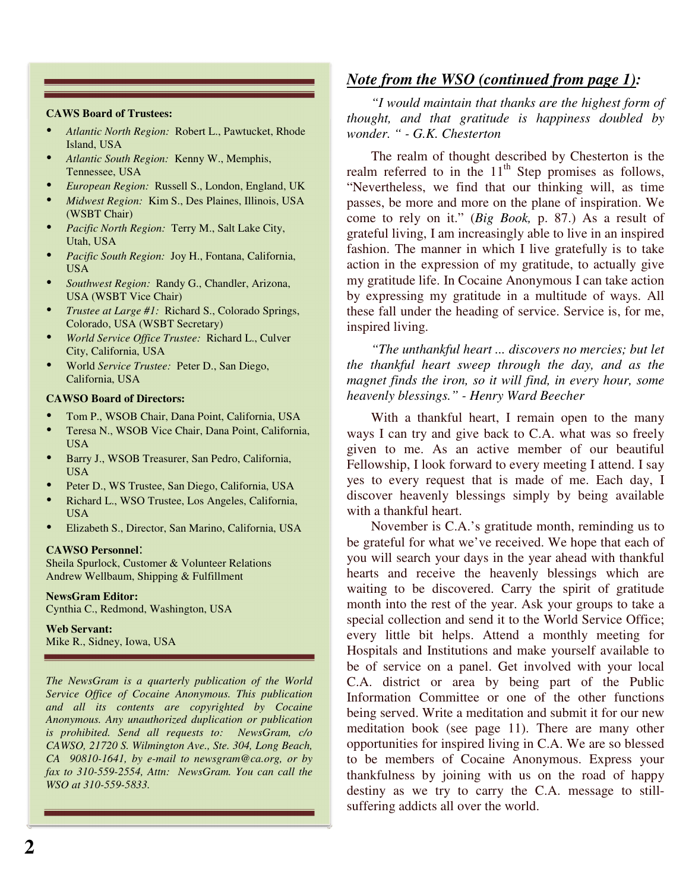#### **CAWS Board of Trustees:**

- *Atlantic North Region:* Robert L., Pawtucket, Rhode Island, USA
- *Atlantic South Region:* Kenny W., Memphis, Tennessee, USA
- *European Region:* Russell S., London, England, UK
- *Midwest Region:* Kim S., Des Plaines, Illinois, USA (WSBT Chair)
- *Pacific North Region:* Terry M., Salt Lake City, Utah, USA
- *Pacific South Region:* Joy H., Fontana, California, USA
- *Southwest Region:* Randy G., Chandler, Arizona, USA (WSBT Vice Chair)
- *Trustee at Large #1:* Richard S., Colorado Springs, Colorado, USA (WSBT Secretary)
- *World Service Office Trustee:* Richard L., Culver City, California, USA
- World *Service Trustee:* Peter D., San Diego, California, USA

### **CAWSO Board of Directors:**

- Tom P., WSOB Chair, Dana Point, California, USA
- Teresa N., WSOB Vice Chair, Dana Point, California, USA
- Barry J., WSOB Treasurer, San Pedro, California, USA
- Peter D., WS Trustee, San Diego, California, USA
- Richard L., WSO Trustee, Los Angeles, California, USA
- Elizabeth S., Director, San Marino, California, USA

### **CAWSO Personnel**:

Sheila Spurlock, Customer & Volunteer Relations Andrew Wellbaum, Shipping & Fulfillment

**NewsGram Editor:** Cynthia C., Redmond, Washington, USA

**Web Servant:**  Mike R., Sidney, Iowa, USA

*The NewsGram is a quarterly publication of the World Service Office of Cocaine Anonymous. This publication and all its contents are copyrighted by Cocaine Anonymous. Any unauthorized duplication or publication is prohibited. Send all requests to: NewsGram, c/o CAWSO, 21720 S. Wilmington Ave., Ste. 304, Long Beach, CA 90810-1641, by e-mail to newsgram@ca.org, or by fax to 310-559-2554, Attn: NewsGram. You can call the WSO at 310-559-5833.*

## *Note from the WSO (continued from page 1):*

*"I would maintain that thanks are the highest form of thought, and that gratitude is happiness doubled by wonder. " - G.K. Chesterton* 

The realm of thought described by Chesterton is the realm referred to in the  $11<sup>th</sup>$  Step promises as follows, "Nevertheless, we find that our thinking will, as time passes, be more and more on the plane of inspiration. We come to rely on it." (*Big Book,* p. 87.) As a result of grateful living, I am increasingly able to live in an inspired fashion. The manner in which I live gratefully is to take action in the expression of my gratitude, to actually give my gratitude life. In Cocaine Anonymous I can take action by expressing my gratitude in a multitude of ways. All these fall under the heading of service. Service is, for me, inspired living.

*"The unthankful heart ... discovers no mercies; but let the thankful heart sweep through the day, and as the magnet finds the iron, so it will find, in every hour, some heavenly blessings." - Henry Ward Beecher* 

With a thankful heart, I remain open to the many ways I can try and give back to C.A. what was so freely given to me. As an active member of our beautiful Fellowship, I look forward to every meeting I attend. I say yes to every request that is made of me. Each day, I discover heavenly blessings simply by being available with a thankful heart.

November is C.A.'s gratitude month, reminding us to be grateful for what we've received. We hope that each of you will search your days in the year ahead with thankful hearts and receive the heavenly blessings which are waiting to be discovered. Carry the spirit of gratitude month into the rest of the year. Ask your groups to take a special collection and send it to the World Service Office; every little bit helps. Attend a monthly meeting for Hospitals and Institutions and make yourself available to be of service on a panel. Get involved with your local C.A. district or area by being part of the Public Information Committee or one of the other functions being served. Write a meditation and submit it for our new meditation book (see page 11). There are many other opportunities for inspired living in C.A. We are so blessed to be members of Cocaine Anonymous. Express your thankfulness by joining with us on the road of happy destiny as we try to carry the C.A. message to stillsuffering addicts all over the world.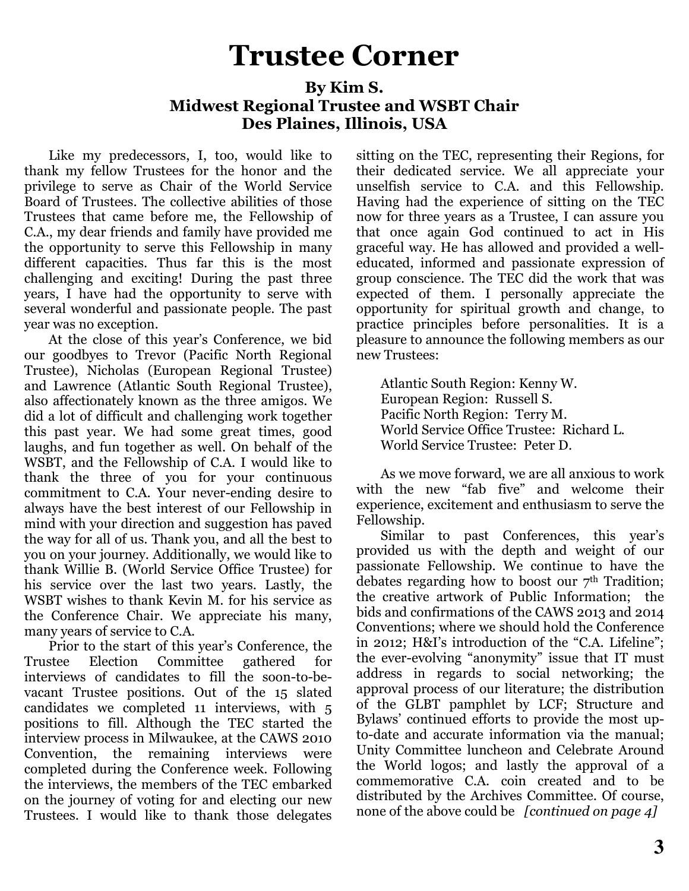## Trustee Corner

## By Kim S. Midwest Regional Trustee and WSBT Chair Des Plaines, Illinois, USA

Like my predecessors, I, too, would like to thank my fellow Trustees for the honor and the privilege to serve as Chair of the World Service Board of Trustees. The collective abilities of those Trustees that came before me, the Fellowship of C.A., my dear friends and family have provided me the opportunity to serve this Fellowship in many different capacities. Thus far this is the most challenging and exciting! During the past three years, I have had the opportunity to serve with several wonderful and passionate people. The past year was no exception.

At the close of this year's Conference, we bid our goodbyes to Trevor (Pacific North Regional Trustee), Nicholas (European Regional Trustee) and Lawrence (Atlantic South Regional Trustee), also affectionately known as the three amigos. We did a lot of difficult and challenging work together this past year. We had some great times, good laughs, and fun together as well. On behalf of the WSBT, and the Fellowship of C.A. I would like to thank the three of you for your continuous commitment to C.A. Your never-ending desire to always have the best interest of our Fellowship in mind with your direction and suggestion has paved the way for all of us. Thank you, and all the best to you on your journey. Additionally, we would like to thank Willie B. (World Service Office Trustee) for his service over the last two years. Lastly, the WSBT wishes to thank Kevin M. for his service as the Conference Chair. We appreciate his many, many years of service to C.A.

Prior to the start of this year's Conference, the Trustee Election Committee gathered for interviews of candidates to fill the soon-to-bevacant Trustee positions. Out of the 15 slated candidates we completed 11 interviews, with 5 positions to fill. Although the TEC started the interview process in Milwaukee, at the CAWS 2010 Convention, the remaining interviews were completed during the Conference week. Following the interviews, the members of the TEC embarked on the journey of voting for and electing our new Trustees. I would like to thank those delegates sitting on the TEC, representing their Regions, for their dedicated service. We all appreciate your unselfish service to C.A. and this Fellowship. Having had the experience of sitting on the TEC now for three years as a Trustee, I can assure you that once again God continued to act in His graceful way. He has allowed and provided a welleducated, informed and passionate expression of group conscience. The TEC did the work that was expected of them. I personally appreciate the opportunity for spiritual growth and change, to practice principles before personalities. It is a pleasure to announce the following members as our new Trustees:

Atlantic South Region: Kenny W. European Region: Russell S. Pacific North Region: Terry M. World Service Office Trustee: Richard L. World Service Trustee: Peter D.

As we move forward, we are all anxious to work with the new "fab five" and welcome their experience, excitement and enthusiasm to serve the Fellowship.

Similar to past Conferences, this year's provided us with the depth and weight of our passionate Fellowship. We continue to have the debates regarding how to boost our  $7<sup>th</sup>$  Tradition; the creative artwork of Public Information; the bids and confirmations of the CAWS 2013 and 2014 Conventions; where we should hold the Conference in 2012; H&I's introduction of the "C.A. Lifeline"; the ever-evolving "anonymity" issue that IT must address in regards to social networking; the approval process of our literature; the distribution of the GLBT pamphlet by LCF; Structure and Bylaws' continued efforts to provide the most upto-date and accurate information via the manual; Unity Committee luncheon and Celebrate Around the World logos; and lastly the approval of a commemorative C.A. coin created and to be distributed by the Archives Committee. Of course, none of the above could be *[continued on page 4]*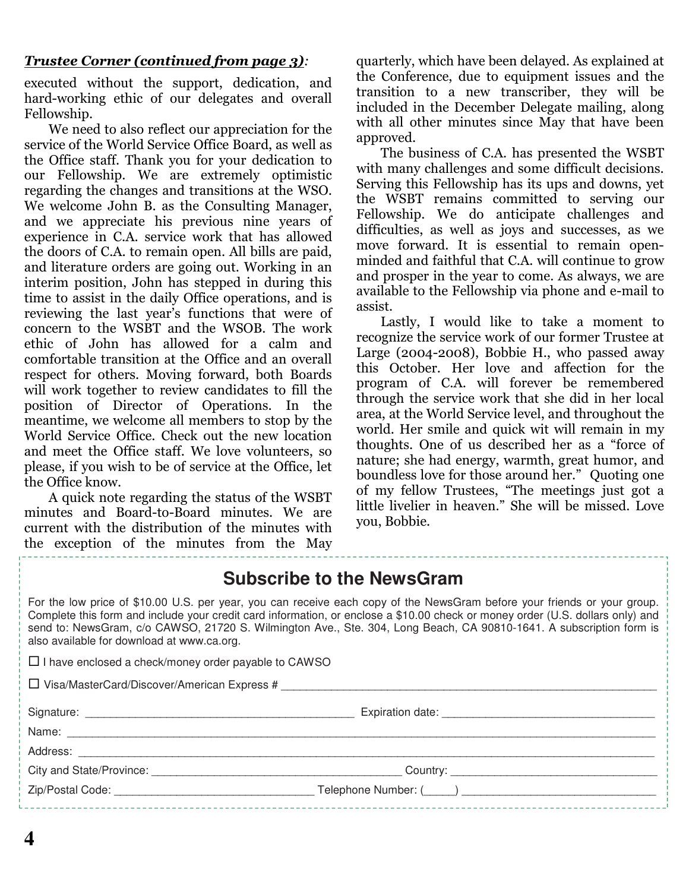## Trustee Corner (continued from page 3):

executed without the support, dedication, and hard-working ethic of our delegates and overall Fellowship.

We need to also reflect our appreciation for the service of the World Service Office Board, as well as the Office staff. Thank you for your dedication to our Fellowship. We are extremely optimistic regarding the changes and transitions at the WSO. We welcome John B. as the Consulting Manager, and we appreciate his previous nine years of experience in C.A. service work that has allowed the doors of C.A. to remain open. All bills are paid, and literature orders are going out. Working in an interim position, John has stepped in during this time to assist in the daily Office operations, and is reviewing the last year's functions that were of concern to the WSBT and the WSOB. The work ethic of John has allowed for a calm and comfortable transition at the Office and an overall respect for others. Moving forward, both Boards will work together to review candidates to fill the position of Director of Operations. In the meantime, we welcome all members to stop by the World Service Office. Check out the new location and meet the Office staff. We love volunteers, so please, if you wish to be of service at the Office, let the Office know.

A quick note regarding the status of the WSBT minutes and Board-to-Board minutes. We are current with the distribution of the minutes with the exception of the minutes from the May quarterly, which have been delayed. As explained at the Conference, due to equipment issues and the transition to a new transcriber, they will be included in the December Delegate mailing, along with all other minutes since May that have been approved.

The business of C.A. has presented the WSBT with many challenges and some difficult decisions. Serving this Fellowship has its ups and downs, yet the WSBT remains committed to serving our Fellowship. We do anticipate challenges and difficulties, as well as joys and successes, as we move forward. It is essential to remain openminded and faithful that C.A. will continue to grow and prosper in the year to come. As always, we are available to the Fellowship via phone and e-mail to assist.

Lastly, I would like to take a moment to recognize the service work of our former Trustee at Large (2004-2008), Bobbie H., who passed away this October. Her love and affection for the program of C.A. will forever be remembered through the service work that she did in her local area, at the World Service level, and throughout the world. Her smile and quick wit will remain in my thoughts. One of us described her as a "force of nature; she had energy, warmth, great humor, and boundless love for those around her." Quoting one of my fellow Trustees, "The meetings just got a little livelier in heaven." She will be missed. Love you, Bobbie.

## **Subscribe to the NewsGram**

For the low price of \$10.00 U.S. per year, you can receive each copy of the NewsGram before your friends or your group. Complete this form and include your credit card information, or enclose a \$10.00 check or money order (U.S. dollars only) and send to: NewsGram, c/o CAWSO, 21720 S. Wilmington Ave., Ste. 304, Long Beach, CA 90810-1641. A subscription form is also available for download at www.ca.org.

| $\Box$ I have enclosed a check/money order payable to CAWSO |  |  |  |  |  |
|-------------------------------------------------------------|--|--|--|--|--|
| $\Box$ Visa/MasterCard/Discover/American Express #          |  |  |  |  |  |
|                                                             |  |  |  |  |  |
|                                                             |  |  |  |  |  |
|                                                             |  |  |  |  |  |
| City and State/Province: City and State/Province:           |  |  |  |  |  |
|                                                             |  |  |  |  |  |
|                                                             |  |  |  |  |  |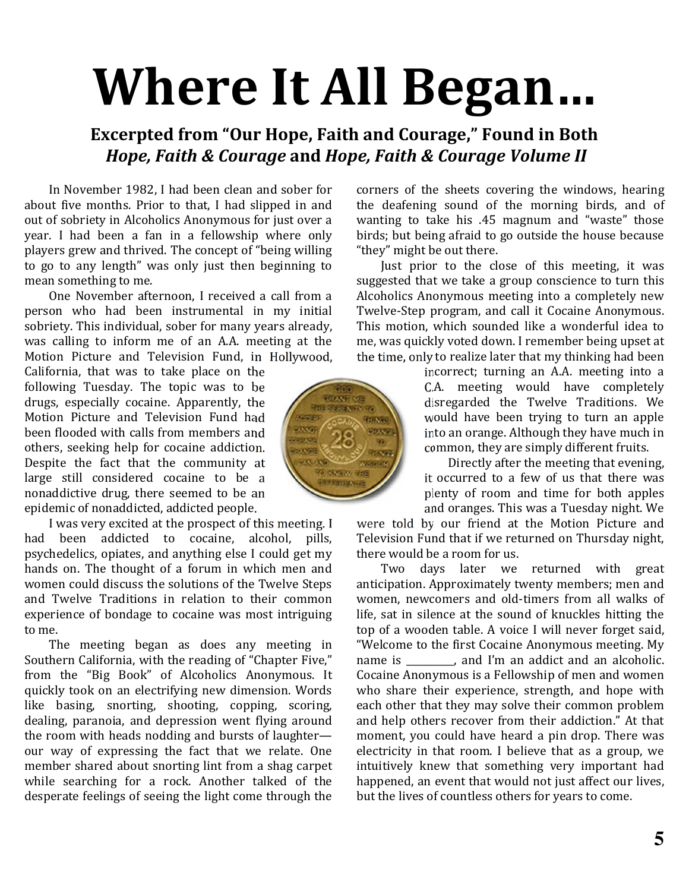# Where It All Began

## Excerpted from "Our Hope, Faith and Courage," Found in Both Hope, Faith & Courage and Hope, Faith & Courage Volume II

In November 1982, I had been clean and sober for about five months. Prior to that, I had slipped in and out of sobriety in Alcoholics Anonymous for just over a year. I had been a fan in a fellowship where only players grew and thrived. The concept of "being willing to go to any length" was only just then beginning to mean something to me.

One November afternoon, I received a call from a person who had been instrumental in my initial sobriety. This individual, sober for many years already, was calling to inform me of an A.A. meeting at the Motion Picture and Television Fund, in Hollywood,

California, that was to take place on the following Tuesday. The topic was to be drugs, especially cocaine. Apparently, the Motion Picture and Television Fund had been flooded with calls from members and others, seeking help for cocaine addiction. Despite the fact that the community at large still considered cocaine to be a nonaddictive drug, there seemed to be an epidemic of nonaddicted, addicted people.

I was very excited at the prospect of this meeting. I had been addicted to cocaine, alcohol, pills, psychedelics, opiates, and anything else I could get my hands on. The thought of a forum in which men and women could discuss the solutions of the Twelve Steps and Twelve Traditions in relation to their common experience of bondage to cocaine was most intriguing to me.

The meeting began as does any meeting in Southern California, with the reading of "Chapter Five," from the "Big Book" of Alcoholics Anonymous. It quickly took on an electrifying new dimension. Words like basing, snorting, shooting, copping, scoring, dealing, paranoia, and depression went flying around the room with heads nodding and bursts of laughter our way of expressing the fact that we relate. One member shared about snorting lint from a shag carpet while searching for a rock. Another talked of the desperate feelings of seeing the light come through the



corners of the sheets covering the windows, hearing the deafening sound of the morning birds, and of wanting to take his .45 magnum and "waste" those birds; but being afraid to go outside the house because "they" might be out there.

Just prior to the close of this meeting, it was suggested that we take a group conscience to turn this Alcoholics Anonymous meeting into a completely new Twelve-Step program, and call it Cocaine Anonymous. This motion, which sounded like a wonderful idea to me, was quickly voted down. I remember being upset at the time, only to realize later that my thinking had been

> incorrect; turning an A.A. meeting into a C.A. meeting would have completely disregarded the Twelve Traditions. We would have been trying to turn an apple into an orange. Although they have much in common, they are simply different fruits.

> Directly after the meeting that evening, it occurred to a few of us that there was plenty of room and time for both apples and oranges. This was a Tuesday night. We

were told by our friend at the Motion Picture and Television Fund that if we returned on Thursday night, there would be a room for us.

Two days later we returned with great anticipation. Approximately twenty members; men and women, newcomers and old-timers from all walks of life, sat in silence at the sound of knuckles hitting the top of a wooden table. A voice I will never forget said, "Welcome to the first Cocaine Anonymous meeting. My name is \_\_\_\_\_\_\_\_\_\_, and I'm an addict and an alcoholic. Cocaine Anonymous is a Fellowship of men and women who share their experience, strength, and hope with each other that they may solve their common problem and help others recover from their addiction." At that moment, you could have heard a pin drop. There was electricity in that room. I believe that as a group, we intuitively knew that something very important had happened, an event that would not just affect our lives. but the lives of countless others for years to come.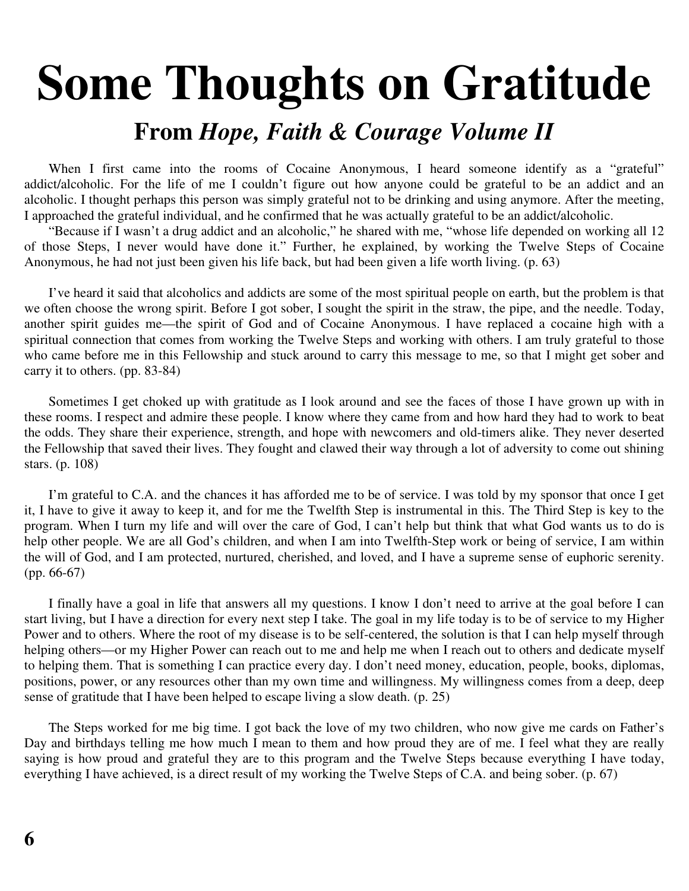## **Some Thoughts on Gratitude From** *Hope, Faith & Courage Volume II*

When I first came into the rooms of Cocaine Anonymous, I heard someone identify as a "grateful" addict/alcoholic. For the life of me I couldn't figure out how anyone could be grateful to be an addict and an alcoholic. I thought perhaps this person was simply grateful not to be drinking and using anymore. After the meeting, I approached the grateful individual, and he confirmed that he was actually grateful to be an addict/alcoholic.

"Because if I wasn't a drug addict and an alcoholic," he shared with me, "whose life depended on working all 12 of those Steps, I never would have done it." Further, he explained, by working the Twelve Steps of Cocaine Anonymous, he had not just been given his life back, but had been given a life worth living. (p. 63)

I've heard it said that alcoholics and addicts are some of the most spiritual people on earth, but the problem is that we often choose the wrong spirit. Before I got sober, I sought the spirit in the straw, the pipe, and the needle. Today, another spirit guides me—the spirit of God and of Cocaine Anonymous. I have replaced a cocaine high with a spiritual connection that comes from working the Twelve Steps and working with others. I am truly grateful to those who came before me in this Fellowship and stuck around to carry this message to me, so that I might get sober and carry it to others. (pp. 83-84)

Sometimes I get choked up with gratitude as I look around and see the faces of those I have grown up with in these rooms. I respect and admire these people. I know where they came from and how hard they had to work to beat the odds. They share their experience, strength, and hope with newcomers and old-timers alike. They never deserted the Fellowship that saved their lives. They fought and clawed their way through a lot of adversity to come out shining stars. (p. 108)

I'm grateful to C.A. and the chances it has afforded me to be of service. I was told by my sponsor that once I get it, I have to give it away to keep it, and for me the Twelfth Step is instrumental in this. The Third Step is key to the program. When I turn my life and will over the care of God, I can't help but think that what God wants us to do is help other people. We are all God's children, and when I am into Twelfth-Step work or being of service, I am within the will of God, and I am protected, nurtured, cherished, and loved, and I have a supreme sense of euphoric serenity. (pp. 66-67)

I finally have a goal in life that answers all my questions. I know I don't need to arrive at the goal before I can start living, but I have a direction for every next step I take. The goal in my life today is to be of service to my Higher Power and to others. Where the root of my disease is to be self-centered, the solution is that I can help myself through helping others—or my Higher Power can reach out to me and help me when I reach out to others and dedicate myself to helping them. That is something I can practice every day. I don't need money, education, people, books, diplomas, positions, power, or any resources other than my own time and willingness. My willingness comes from a deep, deep sense of gratitude that I have been helped to escape living a slow death. (p. 25)

The Steps worked for me big time. I got back the love of my two children, who now give me cards on Father's Day and birthdays telling me how much I mean to them and how proud they are of me. I feel what they are really saying is how proud and grateful they are to this program and the Twelve Steps because everything I have today, everything I have achieved, is a direct result of my working the Twelve Steps of C.A. and being sober. (p. 67)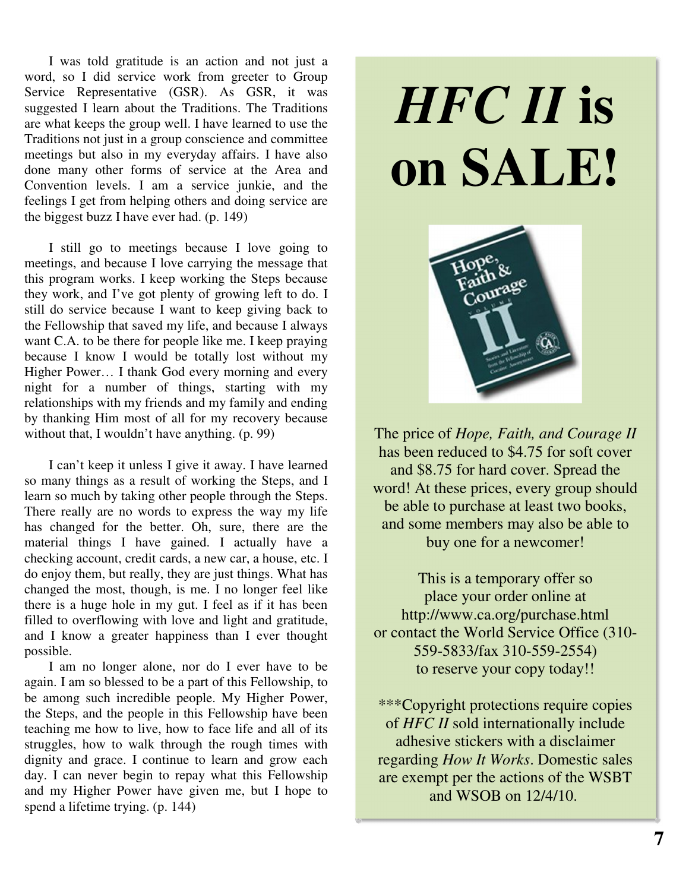I was told gratitude is an action and not just a word, so I did service work from greeter to Group Service Representative (GSR). As GSR, it was suggested I learn about the Traditions. The Traditions are what keeps the group well. I have learned to use the Traditions not just in a group conscience and committee meetings but also in my everyday affairs. I have also done many other forms of service at the Area and Convention levels. I am a service junkie, and the feelings I get from helping others and doing service are the biggest buzz I have ever had. (p. 149)

I still go to meetings because I love going to meetings, and because I love carrying the message that this program works. I keep working the Steps because they work, and I've got plenty of growing left to do. I still do service because I want to keep giving back to the Fellowship that saved my life, and because I always want C.A. to be there for people like me. I keep praying because I know I would be totally lost without my Higher Power… I thank God every morning and every night for a number of things, starting with my relationships with my friends and my family and ending by thanking Him most of all for my recovery because without that, I wouldn't have anything. (p. 99)

I can't keep it unless I give it away. I have learned so many things as a result of working the Steps, and I learn so much by taking other people through the Steps. There really are no words to express the way my life has changed for the better. Oh, sure, there are the material things I have gained. I actually have a checking account, credit cards, a new car, a house, etc. I do enjoy them, but really, they are just things. What has changed the most, though, is me. I no longer feel like there is a huge hole in my gut. I feel as if it has been filled to overflowing with love and light and gratitude, and I know a greater happiness than I ever thought possible.

I am no longer alone, nor do I ever have to be again. I am so blessed to be a part of this Fellowship, to be among such incredible people. My Higher Power, the Steps, and the people in this Fellowship have been teaching me how to live, how to face life and all of its struggles, how to walk through the rough times with dignity and grace. I continue to learn and grow each day. I can never begin to repay what this Fellowship and my Higher Power have given me, but I hope to spend a lifetime trying. (p. 144)

# *HFC II* **is on SALE!**



The price of *Hope, Faith, and Courage II* has been reduced to \$4.75 for soft cover and \$8.75 for hard cover. Spread the word! At these prices, every group should be able to purchase at least two books, and some members may also be able to buy one for a newcomer!

This is a temporary offer so place your order online at http://www.ca.org/purchase.html or contact the World Service Office (310- 559-5833/fax 310-559-2554) to reserve your copy today!!

\*\*\*Copyright protections require copies of *HFC II* sold internationally include adhesive stickers with a disclaimer regarding *How It Works*. Domestic sales are exempt per the actions of the WSBT and WSOB on 12/4/10.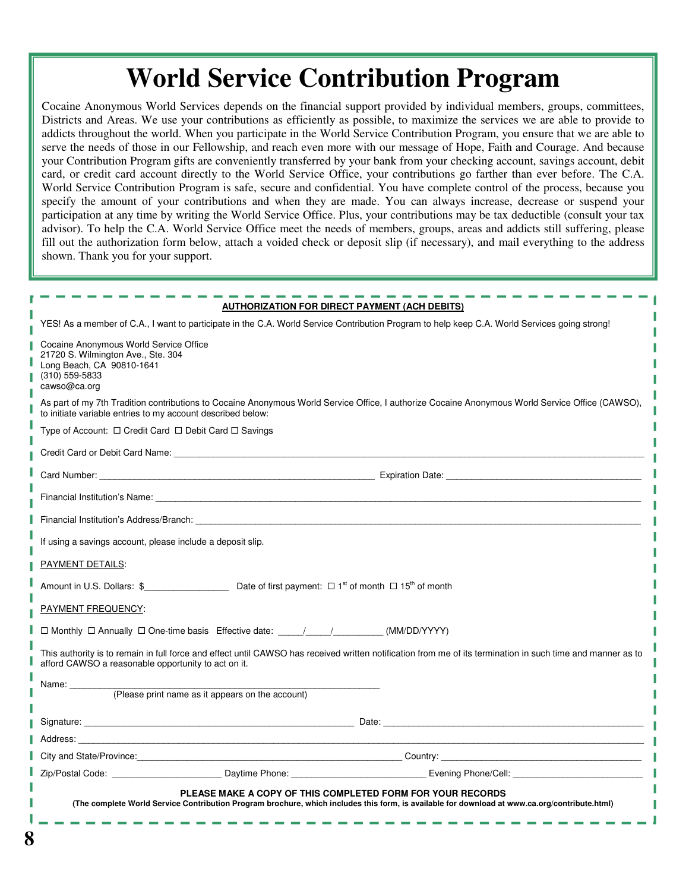## **World Service Contribution Program**

Cocaine Anonymous World Services depends on the financial support provided by individual members, groups, committees, Districts and Areas. We use your contributions as efficiently as possible, to maximize the services we are able to provide to addicts throughout the world. When you participate in the World Service Contribution Program, you ensure that we are able to serve the needs of those in our Fellowship, and reach even more with our message of Hope, Faith and Courage. And because your Contribution Program gifts are conveniently transferred by your bank from your checking account, savings account, debit card, or credit card account directly to the World Service Office, your contributions go farther than ever before. The C.A. World Service Contribution Program is safe, secure and confidential. You have complete control of the process, because you specify the amount of your contributions and when they are made. You can always increase, decrease or suspend your participation at any time by writing the World Service Office. Plus, your contributions may be tax deductible (consult your tax advisor). To help the C.A. World Service Office meet the needs of members, groups, areas and addicts still suffering, please fill out the authorization form below, attach a voided check or deposit slip (if necessary), and mail everything to the address shown. Thank you for your support.

| <b>AUTHORIZATION FOR DIRECT PAYMENT (ACH DEBITS)</b>                                                                                                                                                                           |  |  |  |  |  |  |  |
|--------------------------------------------------------------------------------------------------------------------------------------------------------------------------------------------------------------------------------|--|--|--|--|--|--|--|
| YES! As a member of C.A., I want to participate in the C.A. World Service Contribution Program to help keep C.A. World Services going strong!                                                                                  |  |  |  |  |  |  |  |
| Cocaine Anonymous World Service Office<br>21720 S. Wilmington Ave., Ste. 304<br>Long Beach, CA 90810-1641<br>(310) 559-5833<br>cawso@ca.org                                                                                    |  |  |  |  |  |  |  |
| As part of my 7th Tradition contributions to Cocaine Anonymous World Service Office, I authorize Cocaine Anonymous World Service Office (CAWSO),<br>to initiate variable entries to my account described below:                |  |  |  |  |  |  |  |
| Type of Account: $\Box$ Credit Card $\Box$ Debit Card $\Box$ Savings                                                                                                                                                           |  |  |  |  |  |  |  |
| Credit Card or Debit Card Name: We have a state of the state of the state of the state of the state of the state of the state of the state of the state of the state of the state of the state of the state of the state of th |  |  |  |  |  |  |  |
|                                                                                                                                                                                                                                |  |  |  |  |  |  |  |
|                                                                                                                                                                                                                                |  |  |  |  |  |  |  |
| Financial Institution's Address/Branch: The Contract of the Contract of the Contract of the Contract of the Contract of the Contract of the Contract of the Contract of the Contract of the Contract of the Contract of the Co |  |  |  |  |  |  |  |
| If using a savings account, please include a deposit slip.                                                                                                                                                                     |  |  |  |  |  |  |  |
| PAYMENT DETAILS:                                                                                                                                                                                                               |  |  |  |  |  |  |  |
| Amount in U.S. Dollars: $\$$ Dete of first payment: $\square$ 1 <sup>st</sup> of month $\square$ 15 <sup>th</sup> of month                                                                                                     |  |  |  |  |  |  |  |
| PAYMENT FREQUENCY:                                                                                                                                                                                                             |  |  |  |  |  |  |  |
| □ Monthly □ Annually □ One-time basis Effective date: ____/____/___________(MM/DD/YYYY)                                                                                                                                        |  |  |  |  |  |  |  |
| This authority is to remain in full force and effect until CAWSO has received written notification from me of its termination in such time and manner as to<br>afford CAWSO a reasonable opportunity to act on it.             |  |  |  |  |  |  |  |
| Name:                                                                                                                                                                                                                          |  |  |  |  |  |  |  |
| (Please print name as it appears on the account)                                                                                                                                                                               |  |  |  |  |  |  |  |
| Signature: et al. 2010 and 2010 and 2010 and 2010 and 2010 and 2010 and 2010 and 2010 and 2010 and 2010 and 2010 and 2010 and 2010 and 2010 and 2010 and 2010 and 2010 and 2010 and 2010 and 2010 and 2010 and 2010 and 2010 a |  |  |  |  |  |  |  |
| Address: the contract of the contract of the contract of the contract of the contract of the contract of the contract of the contract of the contract of the contract of the contract of the contract of the contract of the c |  |  |  |  |  |  |  |
| City and State/Province: etc. by the control of the control of the Country: Country: Country: Country: Country: Country: Country: Country: Country: Country: Country: Country: Country: Country: Country: Country: Country: Co |  |  |  |  |  |  |  |
| Zip/Postal Code: Communication of Contract Contract Daytime Phone: Communication Communication Contract Daytime Phone:                                                                                                         |  |  |  |  |  |  |  |
| PLEASE MAKE A COPY OF THIS COMPLETED FORM FOR YOUR RECORDS<br>(The complete World Service Contribution Program brochure, which includes this form, is available for download at www.ca.org/contribute.html)                    |  |  |  |  |  |  |  |

Ï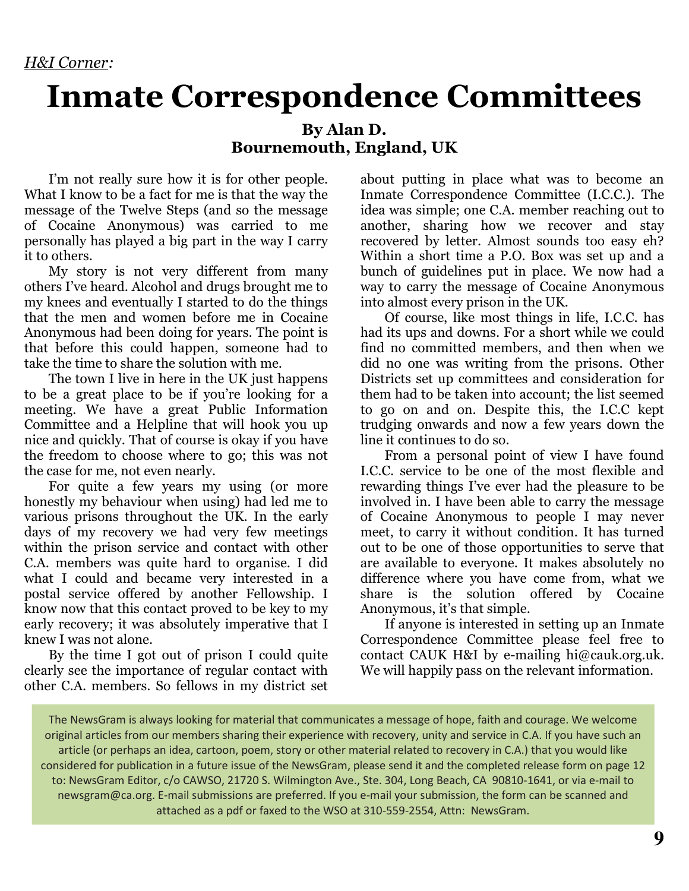## Inmate Correspondence Committees

## By Alan D. Bournemouth, England, UK

I'm not really sure how it is for other people. What I know to be a fact for me is that the way the message of the Twelve Steps (and so the message of Cocaine Anonymous) was carried to me personally has played a big part in the way I carry it to others.

My story is not very different from many others I've heard. Alcohol and drugs brought me to my knees and eventually I started to do the things that the men and women before me in Cocaine Anonymous had been doing for years. The point is that before this could happen, someone had to take the time to share the solution with me.

The town I live in here in the UK just happens to be a great place to be if you're looking for a meeting. We have a great Public Information Committee and a Helpline that will hook you up nice and quickly. That of course is okay if you have the freedom to choose where to go; this was not the case for me, not even nearly.

For quite a few years my using (or more honestly my behaviour when using) had led me to various prisons throughout the UK. In the early days of my recovery we had very few meetings within the prison service and contact with other C.A. members was quite hard to organise. I did what I could and became very interested in a postal service offered by another Fellowship. I know now that this contact proved to be key to my early recovery; it was absolutely imperative that I knew I was not alone.

By the time I got out of prison I could quite clearly see the importance of regular contact with other C.A. members. So fellows in my district set

about putting in place what was to become an Inmate Correspondence Committee (I.C.C.). The idea was simple; one C.A. member reaching out to another, sharing how we recover and stay recovered by letter. Almost sounds too easy eh? Within a short time a P.O. Box was set up and a bunch of guidelines put in place. We now had a way to carry the message of Cocaine Anonymous into almost every prison in the UK.

Of course, like most things in life, I.C.C. has had its ups and downs. For a short while we could find no committed members, and then when we did no one was writing from the prisons. Other Districts set up committees and consideration for them had to be taken into account; the list seemed to go on and on. Despite this, the I.C.C kept trudging onwards and now a few years down the line it continues to do so.

From a personal point of view I have found I.C.C. service to be one of the most flexible and rewarding things I've ever had the pleasure to be involved in. I have been able to carry the message of Cocaine Anonymous to people I may never meet, to carry it without condition. It has turned out to be one of those opportunities to serve that are available to everyone. It makes absolutely no difference where you have come from, what we share is the solution offered by Cocaine Anonymous, it's that simple.

If anyone is interested in setting up an Inmate Correspondence Committee please feel free to contact CAUK H&I by e-mailing hi@cauk.org.uk. We will happily pass on the relevant information.

The NewsGram is always looking for material that communicates a message of hope, faith and courage. We welcome original articles from our members sharing their experience with recovery, unity and service in C.A. If you have such an article (or perhaps an idea, cartoon, poem, story or other material related to recovery in C.A.) that you would like considered for publication in a future issue of the NewsGram, please send it and the completed release form on page 12 to: NewsGram Editor, c/o CAWSO, 21720 S. Wilmington Ave., Ste. 304, Long Beach, CA 90810-1641, or via e-mail to newsgram@ca.org. E-mail submissions are preferred. If you e-mail your submission, the form can be scanned and attached as a pdf or faxed to the WSO at 310-559-2554, Attn: NewsGram.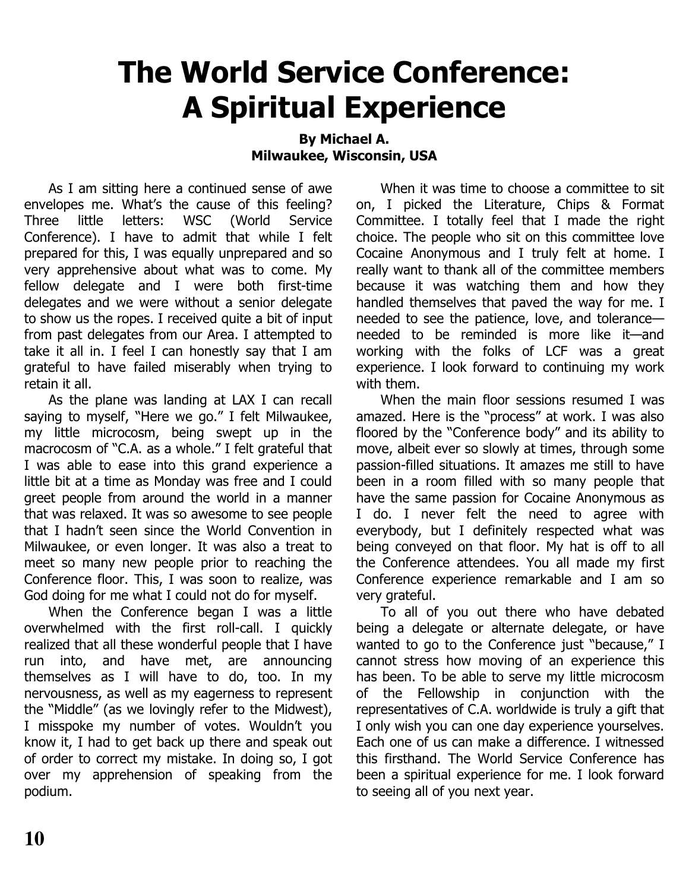## The World Service Conference: A Spiritual Experience

## By Michael A. Milwaukee, Wisconsin, USA

As I am sitting here a continued sense of awe envelopes me. What's the cause of this feeling? Three little letters: WSC (World Service Conference). I have to admit that while I felt prepared for this, I was equally unprepared and so very apprehensive about what was to come. My fellow delegate and I were both first-time delegates and we were without a senior delegate to show us the ropes. I received quite a bit of input from past delegates from our Area. I attempted to take it all in. I feel I can honestly say that I am grateful to have failed miserably when trying to retain it all.

As the plane was landing at LAX I can recall saying to myself, "Here we go." I felt Milwaukee, my little microcosm, being swept up in the macrocosm of "C.A. as a whole." I felt grateful that I was able to ease into this grand experience a little bit at a time as Monday was free and I could greet people from around the world in a manner that was relaxed. It was so awesome to see people that I hadn't seen since the World Convention in Milwaukee, or even longer. It was also a treat to meet so many new people prior to reaching the Conference floor. This, I was soon to realize, was God doing for me what I could not do for myself.

When the Conference began I was a little overwhelmed with the first roll-call. I quickly realized that all these wonderful people that I have run into, and have met, are announcing themselves as I will have to do, too. In my nervousness, as well as my eagerness to represent the "Middle" (as we lovingly refer to the Midwest), I misspoke my number of votes. Wouldn't you know it, I had to get back up there and speak out of order to correct my mistake. In doing so, I got over my apprehension of speaking from the podium.

When it was time to choose a committee to sit on, I picked the Literature, Chips & Format Committee. I totally feel that I made the right choice. The people who sit on this committee love Cocaine Anonymous and I truly felt at home. I really want to thank all of the committee members because it was watching them and how they handled themselves that paved the way for me. I needed to see the patience, love, and tolerance needed to be reminded is more like it—and working with the folks of LCF was a great experience. I look forward to continuing my work with them.

When the main floor sessions resumed I was amazed. Here is the "process" at work. I was also floored by the "Conference body" and its ability to move, albeit ever so slowly at times, through some passion-filled situations. It amazes me still to have been in a room filled with so many people that have the same passion for Cocaine Anonymous as I do. I never felt the need to agree with everybody, but I definitely respected what was being conveyed on that floor. My hat is off to all the Conference attendees. You all made my first Conference experience remarkable and I am so very grateful.

To all of you out there who have debated being a delegate or alternate delegate, or have wanted to go to the Conference just "because," I cannot stress how moving of an experience this has been. To be able to serve my little microcosm of the Fellowship in conjunction with the representatives of C.A. worldwide is truly a gift that I only wish you can one day experience yourselves. Each one of us can make a difference. I witnessed this firsthand. The World Service Conference has been a spiritual experience for me. I look forward to seeing all of you next year.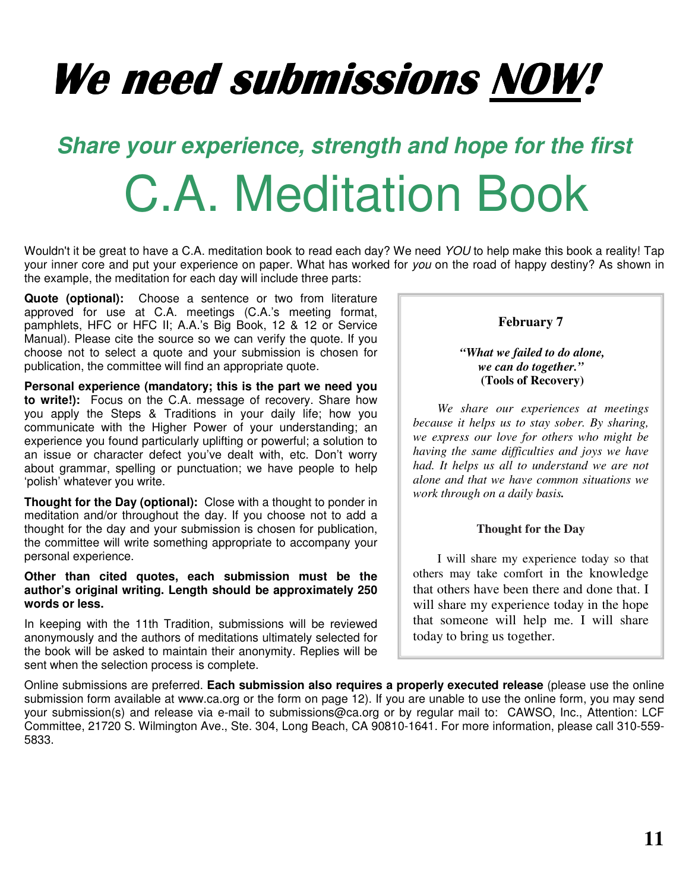# We need submissions NOW!

# **Share your experience, strength and hope for the first**  C.A. Meditation Book

Wouldn't it be great to have a C.A. meditation book to read each day? We need YOU to help make this book a reality! Tap your inner core and put your experience on paper. What has worked for you on the road of happy destiny? As shown in the example, the meditation for each day will include three parts:

**Quote (optional):** Choose a sentence or two from literature approved for use at C.A. meetings (C.A.'s meeting format, pamphlets, HFC or HFC II; A.A.'s Big Book, 12 & 12 or Service Manual). Please cite the source so we can verify the quote. If you choose not to select a quote and your submission is chosen for publication, the committee will find an appropriate quote.

**Personal experience (mandatory; this is the part we need you to write!):** Focus on the C.A. message of recovery. Share how you apply the Steps & Traditions in your daily life; how you communicate with the Higher Power of your understanding; an experience you found particularly uplifting or powerful; a solution to an issue or character defect you've dealt with, etc. Don't worry about grammar, spelling or punctuation; we have people to help 'polish' whatever you write.

**Thought for the Day (optional):** Close with a thought to ponder in meditation and/or throughout the day. If you choose not to add a thought for the day and your submission is chosen for publication, the committee will write something appropriate to accompany your personal experience.

## **Other than cited quotes, each submission must be the author's original writing. Length should be approximately 250 words or less.**

In keeping with the 11th Tradition, submissions will be reviewed anonymously and the authors of meditations ultimately selected for the book will be asked to maintain their anonymity. Replies will be sent when the selection process is complete.

## **February 7**

## *"What we failed to do alone, we can do together."*  **(Tools of Recovery)**

*We share our experiences at meetings because it helps us to stay sober. By sharing, we express our love for others who might be having the same difficulties and joys we have had. It helps us all to understand we are not alone and that we have common situations we work through on a daily basis.* 

## **Thought for the Day**

I will share my experience today so that others may take comfort in the knowledge that others have been there and done that. I will share my experience today in the hope that someone will help me. I will share today to bring us together.

Online submissions are preferred. **Each submission also requires a properly executed release** (please use the online submission form available at www.ca.org or the form on page 12). If you are unable to use the online form, you may send your submission(s) and release via e-mail to submissions@ca.org or by regular mail to: CAWSO, Inc., Attention: LCF Committee, 21720 S. Wilmington Ave., Ste. 304, Long Beach, CA 90810-1641. For more information, please call 310-559- 5833.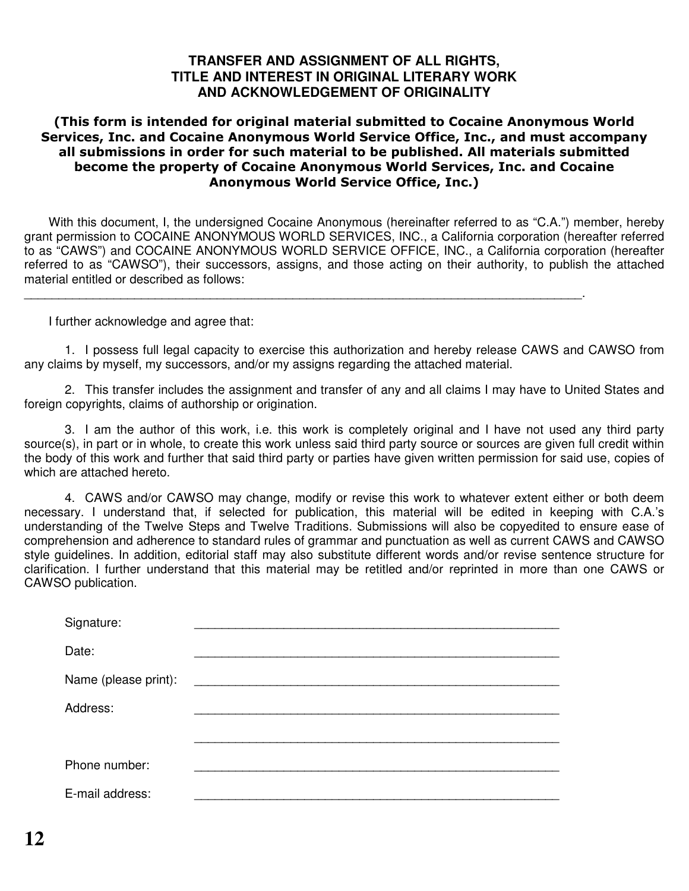## **TRANSFER AND ASSIGNMENT OF ALL RIGHTS, TITLE AND INTEREST IN ORIGINAL LITERARY WORK AND ACKNOWLEDGEMENT OF ORIGINALITY**

## (This form is intended for original material submitted to Cocaine Anonymous World Services, Inc. and Cocaine Anonymous World Service Office, Inc., and must accompany all submissions in order for such material to be published. All materials submitted become the property of Cocaine Anonymous World Services, Inc. and Cocaine Anonymous World Service Office, Inc.)

With this document, I, the undersigned Cocaine Anonymous (hereinafter referred to as "C.A.") member, hereby grant permission to COCAINE ANONYMOUS WORLD SERVICES, INC., a California corporation (hereafter referred to as "CAWS") and COCAINE ANONYMOUS WORLD SERVICE OFFICE, INC., a California corporation (hereafter referred to as "CAWSO"), their successors, assigns, and those acting on their authority, to publish the attached material entitled or described as follows:

\_\_\_\_\_\_\_\_\_\_\_\_\_\_\_\_\_\_\_\_\_\_\_\_\_\_\_\_\_\_\_\_\_\_\_\_\_\_\_\_\_\_\_\_\_\_\_\_\_\_\_\_\_\_\_\_\_\_\_\_\_\_\_\_\_\_\_\_\_\_\_\_\_\_\_\_\_\_\_\_\_.

I further acknowledge and agree that:

1. I possess full legal capacity to exercise this authorization and hereby release CAWS and CAWSO from any claims by myself, my successors, and/or my assigns regarding the attached material.

2. This transfer includes the assignment and transfer of any and all claims I may have to United States and foreign copyrights, claims of authorship or origination.

3. I am the author of this work, i.e. this work is completely original and I have not used any third party source(s), in part or in whole, to create this work unless said third party source or sources are given full credit within the body of this work and further that said third party or parties have given written permission for said use, copies of which are attached hereto.

4. CAWS and/or CAWSO may change, modify or revise this work to whatever extent either or both deem necessary. I understand that, if selected for publication, this material will be edited in keeping with C.A.'s understanding of the Twelve Steps and Twelve Traditions. Submissions will also be copyedited to ensure ease of comprehension and adherence to standard rules of grammar and punctuation as well as current CAWS and CAWSO style guidelines. In addition, editorial staff may also substitute different words and/or revise sentence structure for clarification. I further understand that this material may be retitled and/or reprinted in more than one CAWS or CAWSO publication.

| Signature:           |  |
|----------------------|--|
| Date:                |  |
| Name (please print): |  |
| Address:             |  |
|                      |  |
| Phone number:        |  |
| E-mail address:      |  |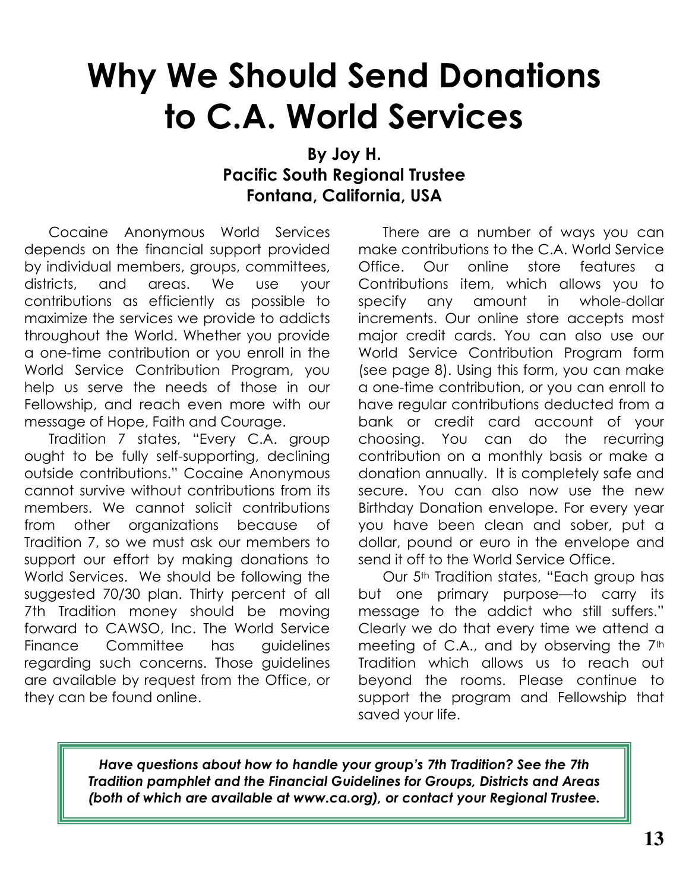## Why We Should Send Donations to C.A. World Services

## By Joy H. Pacific South Regional Trustee Fontana, California, USA

Cocaine Anonymous World Services depends on the financial support provided by individual members, groups, committees, districts, and areas. We use your contributions as efficiently as possible to maximize the services we provide to addicts throughout the World. Whether you provide a one-time contribution or you enroll in the World Service Contribution Program, you help us serve the needs of those in our Fellowship, and reach even more with our message of Hope, Faith and Courage.

Tradition 7 states, "Every C.A. group ought to be fully self-supporting, declining outside contributions." Cocaine Anonymous cannot survive without contributions from its members. We cannot solicit contributions from other organizations because of Tradition 7, so we must ask our members to support our effort by making donations to World Services. We should be following the suggested 70/30 plan. Thirty percent of all 7th Tradition money should be moving forward to CAWSO, Inc. The World Service Finance Committee has guidelines regarding such concerns. Those guidelines are available by request from the Office, or they can be found online.

There are a number of ways you can make contributions to the C.A. World Service Office. Our online store features a Contributions item, which allows you to specify any amount in whole-dollar increments. Our online store accepts most major credit cards. You can also use our World Service Contribution Program form (see page 8). Using this form, you can make a one-time contribution, or you can enroll to have regular contributions deducted from a bank or credit card account of your choosing. You can do the recurring contribution on a monthly basis or make a donation annually. It is completely safe and secure. You can also now use the new Birthday Donation envelope. For every year you have been clean and sober, put a dollar, pound or euro in the envelope and send it off to the World Service Office.

Our 5<sup>th</sup> Tradition states, "Each group has but one primary purpose—to carry its message to the addict who still suffers." Clearly we do that every time we attend a meeting of C.A., and by observing the 7<sup>th</sup> Tradition which allows us to reach out beyond the rooms. Please continue to support the program and Fellowship that saved your life.

Have questions about how to handle your group's 7th Tradition? See the 7th Tradition pamphlet and the Financial Guidelines for Groups, Districts and Areas (both of which are available at www.ca.org), or contact your Regional Trustee.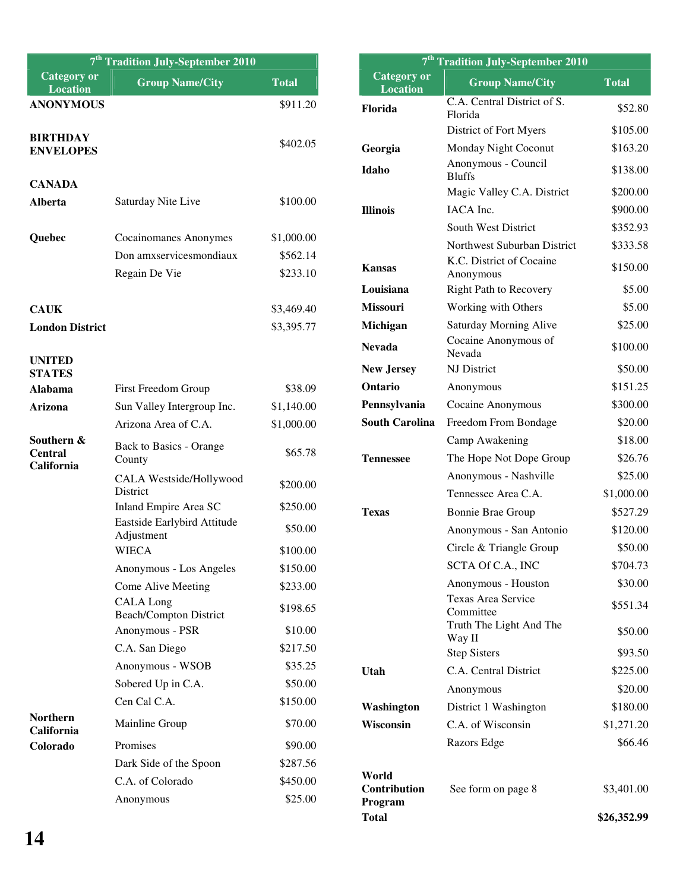| 7 <sup>th</sup> Tradition July-September 2010          |                                                   |                      | 7 <sup>th</sup> Tradition July-September 2010 |                                        |              |
|--------------------------------------------------------|---------------------------------------------------|----------------------|-----------------------------------------------|----------------------------------------|--------------|
| <b>Category or</b><br><b>Location</b>                  | <b>Group Name/City</b>                            | <b>Total</b>         | <b>Category or</b><br><b>Location</b>         | <b>Group Name/City</b>                 | <b>Total</b> |
| <b>ANONYMOUS</b>                                       |                                                   | \$911.20             | Florida                                       | C.A. Central District of S.<br>Florida | \$52.80      |
| <b>BIRTHDAY</b>                                        |                                                   |                      |                                               | District of Fort Myers                 | \$105.00     |
| <b>ENVELOPES</b>                                       |                                                   | \$402.05             | Georgia                                       | Monday Night Coconut                   | \$163.20     |
| <b>CANADA</b>                                          |                                                   |                      | Idaho                                         | Anonymous - Council<br><b>Bluffs</b>   | \$138.00     |
|                                                        |                                                   |                      |                                               | Magic Valley C.A. District             | \$200.00     |
| Alberta<br>Saturday Nite Live                          |                                                   | \$100.00             | <b>Illinois</b>                               | IACA Inc.                              | \$900.00     |
|                                                        |                                                   |                      |                                               | South West District                    | \$352.93     |
| Quebec                                                 | Cocainomanes Anonymes                             | \$1,000.00           |                                               | Northwest Suburban District            | \$333.58     |
|                                                        | Don amxservicesmondiaux<br>Regain De Vie          | \$562.14<br>\$233.10 | <b>Kansas</b>                                 | K.C. District of Cocaine<br>Anonymous  | \$150.00     |
|                                                        |                                                   |                      | Louisiana                                     | <b>Right Path to Recovery</b>          | \$5.00       |
| <b>CAUK</b>                                            |                                                   | \$3,469.40           | Missouri                                      | Working with Others                    | \$5.00       |
| <b>London District</b>                                 |                                                   | \$3,395.77           | Michigan                                      | <b>Saturday Morning Alive</b>          | \$25.00      |
|                                                        |                                                   |                      | <b>Nevada</b>                                 | Cocaine Anonymous of<br>Nevada         | \$100.00     |
| <b>UNITED</b><br><b>STATES</b>                         |                                                   |                      | <b>New Jersey</b>                             | NJ District                            | \$50.00      |
| <b>Alabama</b>                                         | First Freedom Group                               | \$38.09              | Ontario                                       | Anonymous                              | \$151.25     |
| Arizona                                                | Sun Valley Intergroup Inc.                        | \$1,140.00           | Pennsylvania                                  | Cocaine Anonymous                      | \$300.00     |
|                                                        | Arizona Area of C.A.                              | \$1,000.00           | <b>South Carolina</b>                         | Freedom From Bondage                   | \$20.00      |
| Southern &                                             | Back to Basics - Orange                           |                      |                                               | Camp Awakening                         | \$18.00      |
| <b>Central</b><br>California                           | County                                            | \$65.78              | <b>Tennessee</b>                              | The Hope Not Dope Group                | \$26.76      |
|                                                        | CALA Westside/Hollywood                           | \$200.00             |                                               | Anonymous - Nashville                  | \$25.00      |
|                                                        | District                                          |                      |                                               | Tennessee Area C.A.                    | \$1,000.00   |
|                                                        | Inland Empire Area SC                             | \$250.00             | <b>Texas</b>                                  | <b>Bonnie Brae Group</b>               | \$527.29     |
|                                                        | Eastside Earlybird Attitude<br>Adjustment         | \$50.00              |                                               | Anonymous - San Antonio                | \$120.00     |
|                                                        | <b>WIECA</b>                                      | \$100.00             |                                               | Circle & Triangle Group                | \$50.00      |
|                                                        | Anonymous - Los Angeles                           | \$150.00             |                                               | SCTA Of C.A., INC                      | \$704.73     |
|                                                        | Come Alive Meeting                                | \$233.00             |                                               | Anonymous - Houston                    | \$30.00      |
|                                                        | <b>CALA</b> Long<br><b>Beach/Compton District</b> | \$198.65             |                                               | Texas Area Service<br>Committee        | \$551.34     |
|                                                        | Anonymous - PSR                                   | \$10.00              |                                               | Truth The Light And The<br>Way II      | \$50.00      |
|                                                        | C.A. San Diego                                    | \$217.50             |                                               | <b>Step Sisters</b>                    | \$93.50      |
| Anonymous - WSOB<br>Sobered Up in C.A.<br>Cen Cal C.A. |                                                   | \$35.25              | Utah                                          | C.A. Central District                  | \$225.00     |
|                                                        |                                                   | \$50.00              |                                               | Anonymous                              | \$20.00      |
|                                                        |                                                   | \$150.00             | Washington                                    | District 1 Washington                  | \$180.00     |
| <b>Northern</b><br>California                          | Mainline Group                                    | \$70.00              | Wisconsin                                     | C.A. of Wisconsin                      | \$1,271.20   |
| Colorado                                               | Promises                                          | \$90.00              |                                               | Razors Edge                            | \$66.46      |
|                                                        | Dark Side of the Spoon                            | \$287.56             |                                               |                                        |              |
|                                                        | C.A. of Colorado<br>Anonymous                     | \$450.00<br>\$25.00  | World<br>Contribution                         | See form on page 8                     | \$3,401.00   |
|                                                        |                                                   |                      | Program<br><b>Total</b>                       |                                        | \$26,352.99  |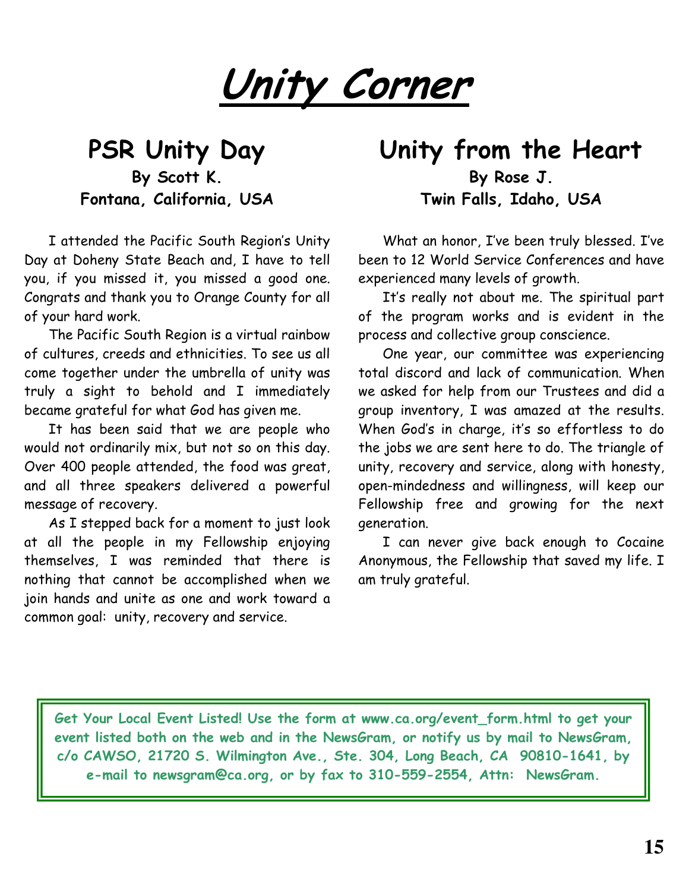Unity Corner

## PSR Unity Day By Scott K. Fontana, California, USA

I attended the Pacific South Region's Unity Day at Doheny State Beach and, I have to tell you, if you missed it, you missed a good one. Congrats and thank you to Orange County for all of your hard work.

The Pacific South Region is a virtual rainbow of cultures, creeds and ethnicities. To see us all come together under the umbrella of unity was truly a sight to behold and I immediately became grateful for what God has given me.

It has been said that we are people who would not ordinarily mix, but not so on this day. Over 400 people attended, the food was great, and all three speakers delivered a powerful message of recovery.

As I stepped back for a moment to just look at all the people in my Fellowship enjoying themselves, I was reminded that there is nothing that cannot be accomplished when we join hands and unite as one and work toward a common goal: unity, recovery and service.

## Unity from the Heart By Rose J. Twin Falls, Idaho, USA

What an honor, I've been truly blessed. I've been to 12 World Service Conferences and have experienced many levels of growth.

It's really not about me. The spiritual part of the program works and is evident in the process and collective group conscience.

One year, our committee was experiencing total discord and lack of communication. When we asked for help from our Trustees and did a group inventory, I was amazed at the results. When God's in charge, it's so effortless to do the jobs we are sent here to do. The triangle of unity, recovery and service, along with honesty, open-mindedness and willingness, will keep our Fellowship free and growing for the next generation.

I can never give back enough to Cocaine Anonymous, the Fellowship that saved my life. I am truly grateful.

Get Your Local Event Listed! Use the form at www.ca.org/event\_form.html to get your event listed both on the web and in the NewsGram, or notify us by mail to NewsGram, c/o CAWSO, 21720 S. Wilmington Ave., Ste. 304, Long Beach, CA 90810-1641, by e-mail to newsgram@ca.org, or by fax to 310-559-2554, Attn: NewsGram.